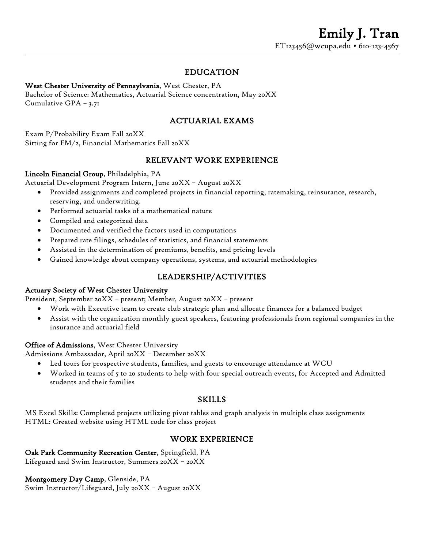### EDUCATION

#### West Chester University of Pennsylvania, West Chester, PA

Bachelor of Science: Mathematics, Actuarial Science concentration, May 20XX Cumulative GPA – 3.71

### ACTUARIAL EXAMS

Exam P/Probability Exam Fall 20XX Sitting for FM/2, Financial Mathematics Fall 20XX

### RELEVANT WORK EXPERIENCE

#### Lincoln Financial Group, Philadelphia, PA

Actuarial Development Program Intern, June 20XX – August 20XX

- Provided assignments and completed projects in financial reporting, ratemaking, reinsurance, research, reserving, and underwriting.
- Performed actuarial tasks of a mathematical nature
- Compiled and categorized data
- Documented and verified the factors used in computations
- Prepared rate filings, schedules of statistics, and financial statements
- Assisted in the determination of premiums, benefits, and pricing levels
- Gained knowledge about company operations, systems, and actuarial methodologies

#### LEADERSHIP/ACTIVITIES

#### Actuary Society of West Chester University

President, September 20XX – present; Member, August 20XX – present

- Work with Executive team to create club strategic plan and allocate finances for a balanced budget
- Assist with the organization monthly guest speakers, featuring professionals from regional companies in the insurance and actuarial field

#### Office of Admissions, West Chester University

Admissions Ambassador, April 20XX – December 20XX

- Led tours for prospective students, families, and guests to encourage attendance at WCU
- Worked in teams of 5 to 20 students to help with four special outreach events, for Accepted and Admitted students and their families

#### SKILLS

MS Excel Skills: Completed projects utilizing pivot tables and graph analysis in multiple class assignments HTML: Created website using HTML code for class project

#### WORK EXPERIENCE

#### Oak Park Community Recreation Center, Springfield, PA

Lifeguard and Swim Instructor, Summers 20XX – 20XX

Montgomery Day Camp, Glenside, PA Swim Instructor/Lifeguard, July 20XX – August 20XX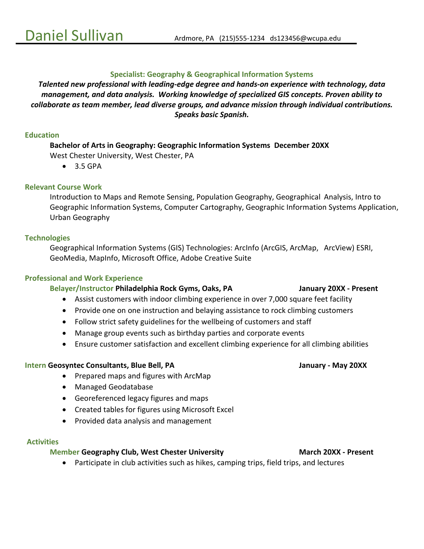#### **Specialist: Geography & Geographical Information Systems**

*Talented new professional with leading-edge degree and hands-on experience with technology, data management, and data analysis. Working knowledge of specialized GIS concepts. Proven ability to collaborate as team member, lead diverse groups, and advance mission through individual contributions. Speaks basic Spanish.*

#### **Education**

**Bachelor of Arts in Geography: Geographic Information Systems December 20XX** West Chester University, West Chester, PA

• 3.5 GPA

#### **Relevant Course Work**

Introduction to Maps and Remote Sensing, Population Geography, Geographical Analysis, Intro to Geographic Information Systems, Computer Cartography, Geographic Information Systems Application, Urban Geography

#### **Technologies**

Geographical Information Systems (GIS) Technologies: ArcInfo (ArcGIS, ArcMap, ArcView) ESRI, GeoMedia, MapInfo, Microsoft Office, Adobe Creative Suite

#### **Professional and Work Experience**

#### **Belayer/Instructor Philadelphia Rock Gyms, Oaks, PA January 20XX - Present**

- Assist customers with indoor climbing experience in over 7,000 square feet facility
- Provide one on one instruction and belaying assistance to rock climbing customers
- Follow strict safety guidelines for the wellbeing of customers and staff
- Manage group events such as birthday parties and corporate events
- Ensure customer satisfaction and excellent climbing experience for all climbing abilities

#### **Intern Geosyntec Consultants, Blue Bell, PA January - May 20XX**

- Prepared maps and figures with ArcMap
- Managed Geodatabase
- Georeferenced legacy figures and maps
- Created tables for figures using Microsoft Excel
- Provided data analysis and management

#### **Activities**

#### **Member Geography Club, West Chester University March 20XX - Present**

• Participate in club activities such as hikes, camping trips, field trips, and lectures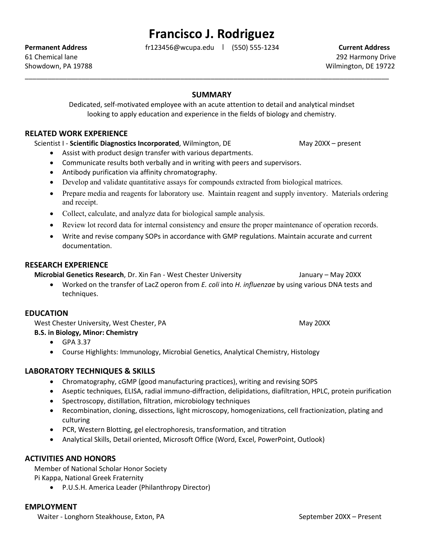# **Francisco J. Rodriguez**

**Permanent Address** fr123456@wcupa.edu **|** (550) 555-1234 **Current Address**

61 Chemical lane 292 Harmony Drive Showdown, PA 19788 Many 19722

#### **SUMMARY**

\_\_\_\_\_\_\_\_\_\_\_\_\_\_\_\_\_\_\_\_\_\_\_\_\_\_\_\_\_\_\_\_\_\_\_\_\_\_\_\_\_\_\_\_\_\_\_\_\_\_\_\_\_\_\_\_\_\_\_\_\_\_\_\_\_\_\_\_\_\_\_\_\_\_\_\_\_\_\_\_\_\_\_\_\_\_\_\_\_\_\_\_\_\_\_\_

Dedicated, self-motivated employee with an acute attention to detail and analytical mindset looking to apply education and experience in the fields of biology and chemistry.

#### **RELATED WORK EXPERIENCE**

Scientist I - Scientific Diagnostics Incorporated, Wilmington, DE May 20XX – present

- Assist with product design transfer with various departments.
- Communicate results both verbally and in writing with peers and supervisors.
- Antibody purification via affinity chromatography.
- Develop and validate quantitative assays for compounds extracted from biological matrices.
- Prepare media and reagents for laboratory use. Maintain reagent and supply inventory. Materials ordering and receipt.
- Collect, calculate, and analyze data for biological sample analysis.
- Review lot record data for internal consistency and ensure the proper maintenance of operation records.
- Write and revise company SOPs in accordance with GMP regulations. Maintain accurate and current documentation.

#### **RESEARCH EXPERIENCE**

**Microbial Genetics Research**, Dr. Xin Fan - West Chester University January – May 20XX

• Worked on the transfer of LacZ operon from *E. coli* into *H. influenzae* by using various DNA tests and techniques.

#### **EDUCATION**

West Chester University, West Chester, PA May 20XX

#### **B.S. in Biology, Minor: Chemistry**

- GPA 3.37
- Course Highlights: Immunology, Microbial Genetics, Analytical Chemistry, Histology

#### **LABORATORY TECHNIQUES & SKILLS**

- Chromatography, cGMP (good manufacturing practices), writing and revising SOPS
- Aseptic techniques, ELISA, radial immuno-diffraction, delipidations, diafiltration, HPLC, protein purification
- Spectroscopy, distillation, filtration, microbiology techniques
- Recombination, cloning, dissections, light microscopy, homogenizations, cell fractionization, plating and culturing
- PCR, Western Blotting, gel electrophoresis, transformation, and titration
- Analytical Skills, Detail oriented, Microsoft Office (Word, Excel, PowerPoint, Outlook)

#### **ACTIVITIES AND HONORS**

Member of National Scholar Honor Society

Pi Kappa, National Greek Fraternity

• P.U.S.H. America Leader (Philanthropy Director)

#### **EMPLOYMENT**

Waiter - Longhorn Steakhouse, Exton, PA September 20XX – Present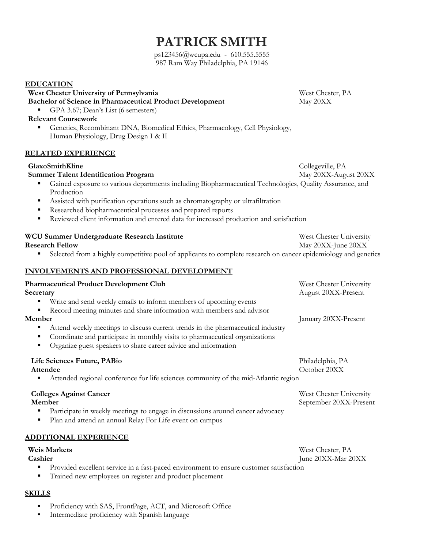# **PATRICK SMITH**

ps123456@wcupa.edu - 610.555.5555 987 Ram Way Philadelphia, PA 19146

#### **EDUCATION**

## **West Chester University of Pennsylvania** West Chester, PA

**Bachelor of Science in Pharmaceutical Product Development** May 20XX

GPA 3.67; Dean's List (6 semesters)

#### **Relevant Coursework**

 Genetics, Recombinant DNA, Biomedical Ethics, Pharmacology, Cell Physiology, Human Physiology, Drug Design I & II

#### **RELATED EXPERIENCE**

#### **GlaxoSmithKline** Collegeville, PA

#### **Summer Talent Identification Program** May 20XX-August 20XX

- Gained exposure to various departments including Biopharmaceutical Technologies, Quality Assurance, and Production
- Assisted with purification operations such as chromatography or ultrafiltration
- Researched biopharmaceutical processes and prepared reports
- Reviewed client information and entered data for increased production and satisfaction

| WCU Summer Undergraduate Research Institute                                                                      | West Chester University |
|------------------------------------------------------------------------------------------------------------------|-------------------------|
| <b>Research Fellow</b>                                                                                           | May 20XX-June 20XX      |
| • Selected from a highly competitive pool of applicants to complete research on cancer epidemiology and genetics |                         |

# **INVOLVEMENTS AND PROFESSIONAL DEVELOPMENT**

| <b>Pharmaceutical Product Development Club</b><br>Secretary                                                                                                                                                                                                                                                                                                                               | West Chester University<br>August 20XX-Present    |
|-------------------------------------------------------------------------------------------------------------------------------------------------------------------------------------------------------------------------------------------------------------------------------------------------------------------------------------------------------------------------------------------|---------------------------------------------------|
| Write and send weekly emails to inform members of upcoming events<br>Record meeting minutes and share information with members and advisor<br>Member<br>Attend weekly meetings to discuss current trends in the pharmaceutical industry<br>Coordinate and participate in monthly visits to pharmaceutical organizations<br>Organize guest speakers to share career advice and information | January 20XX-Present                              |
| Life Sciences Future, PABio<br>Attendee<br>Attended regional conference for life sciences community of the mid-Atlantic region                                                                                                                                                                                                                                                            | Philadelphia, PA<br>October 20XX                  |
| <b>Colleges Against Cancer</b><br>Member<br>Participate in weekly meetings to engage in discussions around cancer advocacy<br>Plan and attend an annual Relay For Life event on campus                                                                                                                                                                                                    | West Chester University<br>September 20XX-Present |
| ADDITIONAL EXPERIENCE                                                                                                                                                                                                                                                                                                                                                                     |                                                   |

#### **Weis Markets** West Chester, PA **Cashier** June 20XX-Mar 20XX

- **Provided excellent service in a fast-paced environment to ensure customer satisfaction**
- Trained new employees on register and product placement

#### **SKILLS**

- Proficiency with SAS, FrontPage, ACT, and Microsoft Office
- **Intermediate proficiency with Spanish language**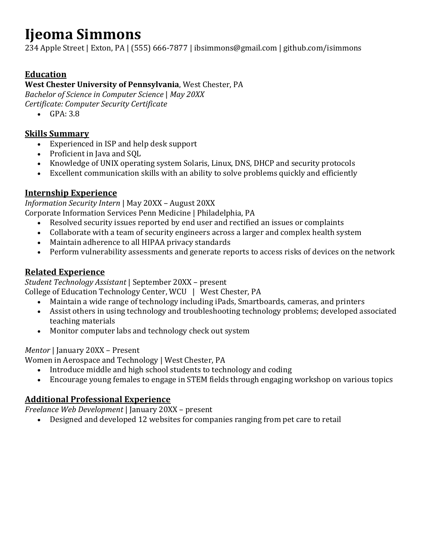# **Ijeoma Simmons**

234 Apple Street | Exton, PA | (555) 666-7877 | ibsimmons@gmail.com | github.com/isimmons

# **Education**

## **West Chester University of Pennsylvania**, West Chester, PA

*Bachelor of Science in Computer Science* | *May 20XX*

*Certificate: Computer Security Certificate*

• GPA: 3.8

# **Skills Summary**

- Experienced in ISP and help desk support
- Proficient in Java and SQL
- Knowledge of UNIX operating system Solaris, Linux, DNS, DHCP and security protocols
- Excellent communication skills with an ability to solve problems quickly and efficiently

# **Internship Experience**

*Information Security Intern* | May 20XX – August 20XX

Corporate Information Services Penn Medicine | Philadelphia, PA

- Resolved security issues reported by end user and rectified an issues or complaints
- Collaborate with a team of security engineers across a larger and complex health system
- Maintain adherence to all HIPAA privacy standards
- Perform vulnerability assessments and generate reports to access risks of devices on the network

# **Related Experience**

*Student Technology Assistant* | September 20XX – present

College of Education Technology Center, WCU | West Chester, PA

- Maintain a wide range of technology including iPads, Smartboards, cameras, and printers
- Assist others in using technology and troubleshooting technology problems; developed associated teaching materials
- Monitor computer labs and technology check out system

# *Mentor* | January 20XX – Present

Women in Aerospace and Technology | West Chester, PA

- Introduce middle and high school students to technology and coding
- Encourage young females to engage in STEM fields through engaging workshop on various topics

# **Additional Professional Experience**

*Freelance Web Development* | January 20XX – present<br>• Designed and developed 12 websites for comp

• Designed and developed 12 websites for companies ranging from pet care to retail